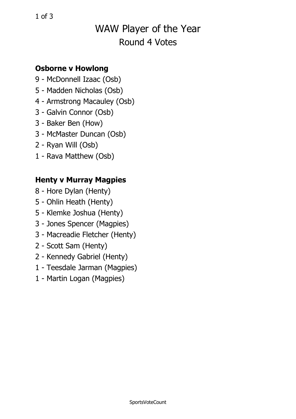## WAW Player of the Year Round 4 Votes

### **Osborne <sup>v</sup> Howlong**

- 9 McDonnell Izaac (Osb)
- 5 Madden Nicholas (Osb)
- 4 Armstrong Macauley (Osb)
- 3 Galvin Connor (Osb)
- 3 Baker Ben (How)
- 3 McMaster Duncan (Osb)
- 2 Ryan Will (Osb)
- 1 Rava Matthew (Osb)

### **Henty <sup>v</sup> Murray Magpies**

- 8 Hore Dylan (Henty)
- 5 Ohlin Heath (Henty)
- 5 Klemke Joshua (Henty)
- 3 Jones Spencer (Magpies)
- 3 Macreadie Fletcher (Henty)
- 2 Scott Sam (Henty)
- 2 Kennedy Gabriel (Henty)
- 1 Teesdale Jarman (Magpies)
- 1 Martin Logan (Magpies)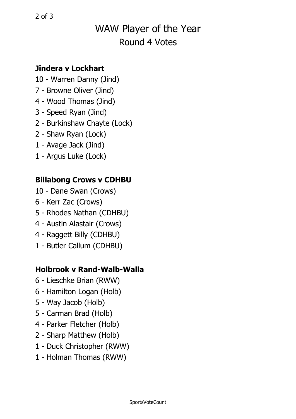# WAW Player of the Year Round 4 Votes

### **Jindera v Lockhart**

- 10 Warren Danny (Jind)
- 7 Browne Oliver (Jind)
- 4 Wood Thomas (Jind)
- 3 Speed Ryan (Jind)
- 2 Burkinshaw Chayte (Lock)
- 2 Shaw Ryan (Lock)
- 1 Avage Jack (Jind)
- 1 Argus Luke (Lock)

#### **Billabong Crows <sup>v</sup> CDHBU**

- 10 Dane Swan (Crows)
- 6 Kerr Zac (Crows)
- 5 Rhodes Nathan (CDHBU)
- 4 Austin Alastair (Crows)
- 4 Raggett Billy (CDHBU)
- 1 Butler Callum (CDHBU)

#### **Holbrook v Rand-Walb-Walla**

- 6 Lieschke Brian (RWW)
- 6 Hamilton Logan (Holb)
- 5 Way Jacob (Holb)
- 5 Carman Brad (Holb)
- 4 Parker Fletcher (Holb)
- 2 Sharp Matthew (Holb)
- 1 Duck Christopher (RWW)
- 1 Holman Thomas (RWW)